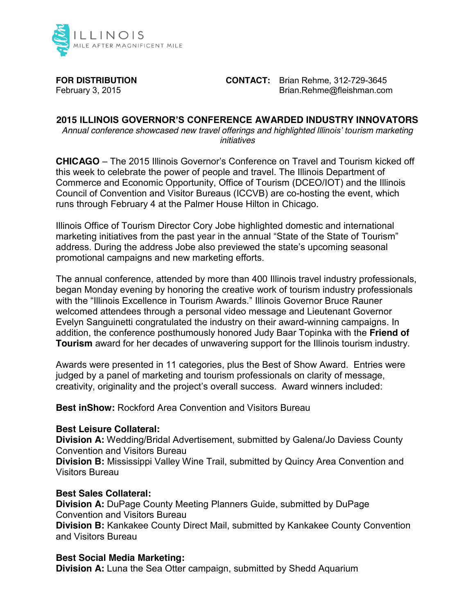

**FOR DISTRIBUTION CONTACT:** Brian Rehme, 312-729-3645 February 3, 2015 **Brian.Rehme@fleishman.com** 

# **2015 ILLINOIS GOVERNOR'S CONFERENCE AWARDED INDUSTRY INNOVATORS**

*Annual conference showcased new travel offerings and highlighted Illinois' tourism marketing initiatives*

**CHICAGO** – The 2015 Illinois Governor's Conference on Travel and Tourism kicked off this week to celebrate the power of people and travel. The Illinois Department of Commerce and Economic Opportunity, Office of Tourism (DCEO/IOT) and the Illinois Council of Convention and Visitor Bureaus (ICCVB) are co-hosting the event, which runs through February 4 at the Palmer House Hilton in Chicago.

Illinois Office of Tourism Director Cory Jobe highlighted domestic and international marketing initiatives from the past year in the annual "State of the State of Tourism" address. During the address Jobe also previewed the state's upcoming seasonal promotional campaigns and new marketing efforts.

The annual conference, attended by more than 400 Illinois travel industry professionals, began Monday evening by honoring the creative work of tourism industry professionals with the "Illinois Excellence in Tourism Awards." Illinois Governor Bruce Rauner welcomed attendees through a personal video message and Lieutenant Governor Evelyn Sanguinetti congratulated the industry on their award-winning campaigns. In addition, the conference posthumously honored Judy Baar Topinka with the **Friend of Tourism** award for her decades of unwavering support for the Illinois tourism industry.

Awards were presented in 11 categories, plus the Best of Show Award. Entries were judged by a panel of marketing and tourism professionals on clarity of message, creativity, originality and the project's overall success. Award winners included:

**Best inShow:** Rockford Area Convention and Visitors Bureau

## **Best Leisure Collateral:**

**Division A:** Wedding/Bridal Advertisement, submitted by Galena/Jo Daviess County Convention and Visitors Bureau

**Division B:** Mississippi Valley Wine Trail, submitted by Quincy Area Convention and Visitors Bureau

## **Best Sales Collateral:**

**Division A:** DuPage County Meeting Planners Guide, submitted by DuPage Convention and Visitors Bureau

**Division B:** Kankakee County Direct Mail, submitted by Kankakee County Convention and Visitors Bureau

## **Best Social Media Marketing:**

**Division A:** Luna the Sea Otter campaign, submitted by Shedd Aquarium